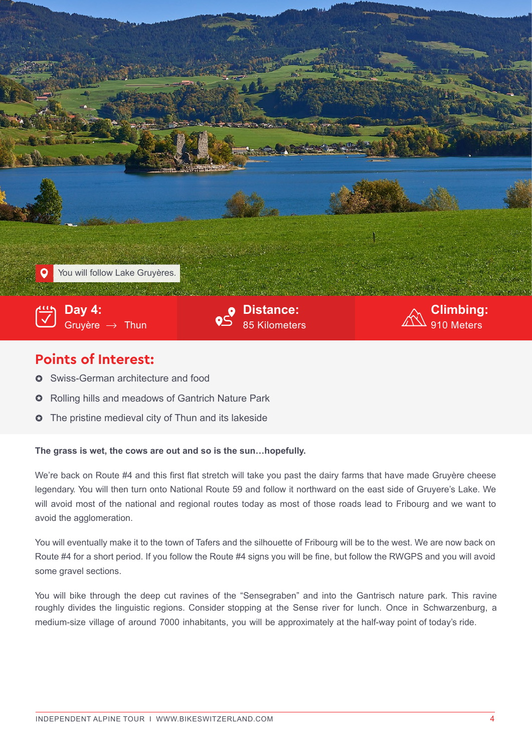

## **Points of Interest:**

- **O** Swiss-German architecture and food
- Rolling hills and meadows of Gantrich Nature Park  $\Omega$
- $\bullet~$  The pristine medieval city of Thun and its lakeside

## **The grass is wet, the cows are out and so is the sun…hopefully.**

We're back on Route #4 and this first flat stretch will take you past the dairy farms that have made Gruyère cheese legendary. You will then turn onto National Route 59 and follow it northward on the east side of Gruyere's Lake. We will avoid most of the national and regional routes today as most of those roads lead to Fribourg and we want to avoid the agglomeration.

You will eventually make it to the town of Tafers and the silhouette of Fribourg will be to the west. We are now back on Route #4 for a short period. If you follow the Route #4 signs you will be fine, but follow the RWGPS and you will avoid some gravel sections.

 roughly divides the linguistic regions. Consider stopping at the Sense river for lunch. Once in Schwarzenburg, a You will bike through the deep cut ravines of the "Sensegraben" and into the Gantrisch nature park. This ravine medium-size village of around 7000 inhabitants, you will be approximately at the half-way point of today's ride.